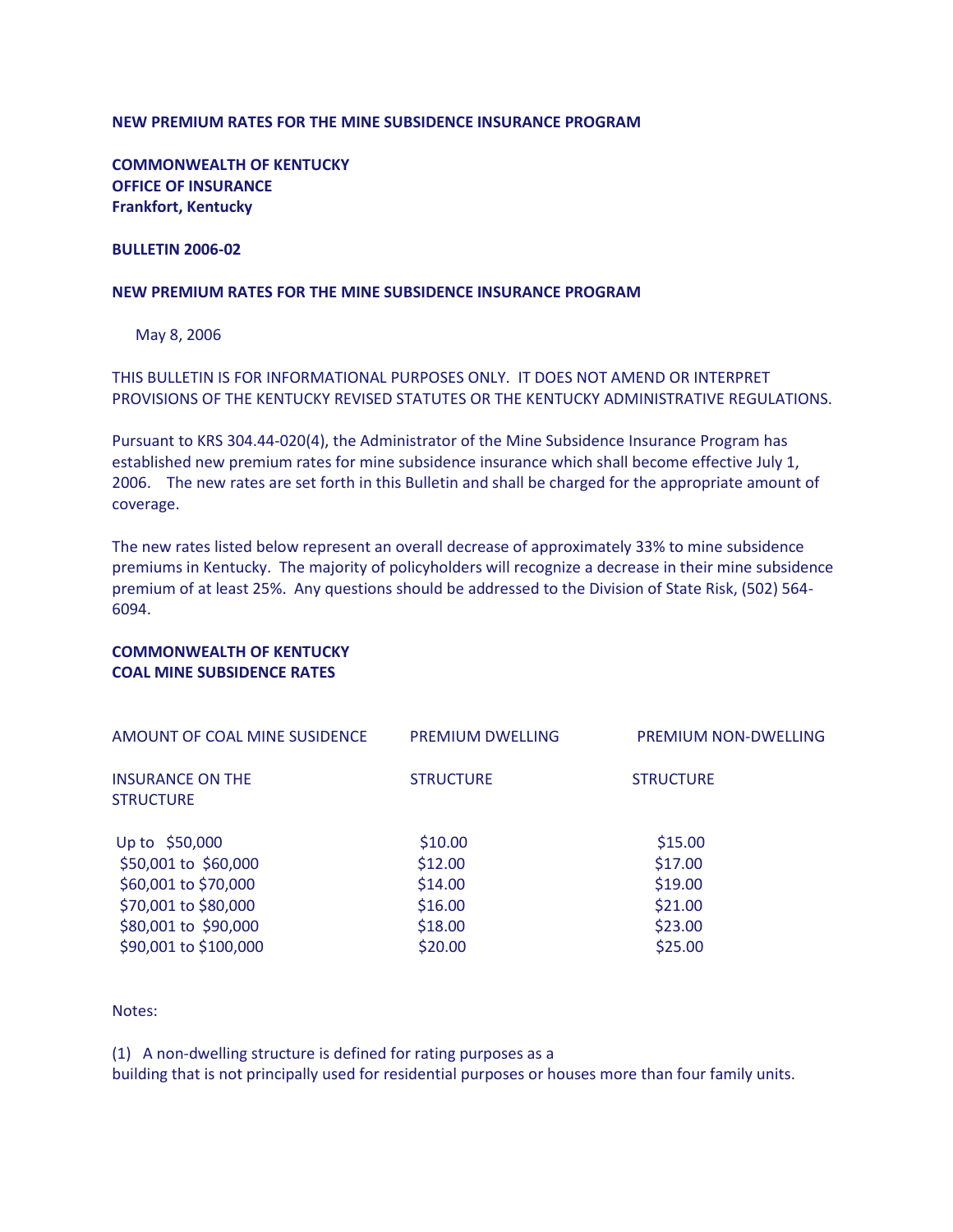## **NEW PREMIUM RATES FOR THE MINE SUBSIDENCE INSURANCE PROGRAM**

**COMMONWEALTH OF KENTUCKY OFFICE OF INSURANCE Frankfort, Kentucky**

#### **BULLETIN 2006-02**

### **NEW PREMIUM RATES FOR THE MINE SUBSIDENCE INSURANCE PROGRAM**

May 8, 2006

THIS BULLETIN IS FOR INFORMATIONAL PURPOSES ONLY. IT DOES NOT AMEND OR INTERPRET PROVISIONS OF THE KENTUCKY REVISED STATUTES OR THE KENTUCKY ADMINISTRATIVE REGULATIONS.

Pursuant to KRS 304.44-020(4), the Administrator of the Mine Subsidence Insurance Program has established new premium rates for mine subsidence insurance which shall become effective July 1, 2006. The new rates are set forth in this Bulletin and shall be charged for the appropriate amount of coverage.

The new rates listed below represent an overall decrease of approximately 33% to mine subsidence premiums in Kentucky. The majority of policyholders will recognize a decrease in their mine subsidence premium of at least 25%. Any questions should be addressed to the Division of State Risk, (502) 564- 6094.

## **COMMONWEALTH OF KENTUCKY COAL MINE SUBSIDENCE RATES**

| AMOUNT OF COAL MINE SUSIDENCE<br><b>INSURANCE ON THE</b><br><b>STRUCTURE</b> | <b>PREMIUM DWELLING</b><br><b>STRUCTURE</b> | <b>PREMIUM NON-DWELLING</b><br><b>STRUCTURE</b> |
|------------------------------------------------------------------------------|---------------------------------------------|-------------------------------------------------|
|                                                                              |                                             |                                                 |
| \$50,001 to \$60,000                                                         | \$12.00                                     | \$17.00                                         |
| \$60,001 to \$70,000                                                         | \$14.00                                     | \$19.00                                         |
| \$70,001 to \$80,000                                                         | \$16.00                                     | \$21.00                                         |
| \$80,001 to \$90,000                                                         | \$18.00                                     | \$23.00                                         |
| \$90,001 to \$100,000                                                        | \$20.00                                     | \$25.00                                         |

Notes:

(1) A non-dwelling structure is defined for rating purposes as a

building that is not principally used for residential purposes or houses more than four family units.